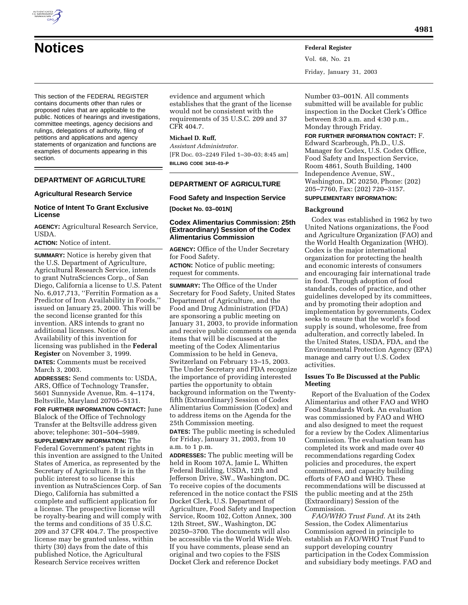

Vol. 68, No. 21 Friday, January 31, 2003

This section of the FEDERAL REGISTER contains documents other than rules or proposed rules that are applicable to the public. Notices of hearings and investigations, committee meetings, agency decisions and rulings, delegations of authority, filing of petitions and applications and agency statements of organization and functions are examples of documents appearing in this section.

# **DEPARTMENT OF AGRICULTURE**

## **Agricultural Research Service**

## **Notice of Intent To Grant Exclusive License**

**AGENCY:** Agricultural Research Service, USDA.

**ACTION:** Notice of intent.

**SUMMARY:** Notice is hereby given that the U.S. Department of Agriculture, Agricultural Research Service, intends to grant NutraSciences Corp., of San Diego, California a license to U.S. Patent No. 6,017,713, ''Ferritin Formation as a Predictor of Iron Availability in Foods,'' issued on January 25, 2000. This will be the second license granted for this invention. ARS intends to grant no additional licenses. Notice of Availability of this invention for licensing was published in the **Federal Register** on November 3, 1999. **DATES:** Comments must be received March 3, 2003.

**ADDRESSES:** Send comments to: USDA, ARS, Office of Technology Transfer, 5601 Sunnyside Avenue, Rm. 4–1174, Beltsville, Maryland 20705–5131.

**FOR FURTHER INFORMATION CONTACT:** June Blalock of the Office of Technology Transfer at the Beltsville address given above; telephone: 301–504–5989.

**SUPPLEMENTARY INFORMATION:** The Federal Government's patent rights in this invention are assigned to the United States of America, as represented by the Secretary of Agriculture. It is in the public interest to so license this invention as NutraSciences Corp. of San Diego, California has submitted a complete and sufficient application for a license. The prospective license will be royalty-bearing and will comply with the terms and conditions of 35 U.S.C. 209 and 37 CFR 404.7. The prospective license may be granted unless, within thirty (30) days from the date of this published Notice, the Agricultural Research Service receives written

evidence and argument which establishes that the grant of the license would not be consistent with the requirements of 35 U.S.C. 209 and 37 CFR 404.7.

#### **Michael D. Ruff,**

*Assistant Administrator.* [FR Doc. 03–2249 Filed 1–30–03; 8:45 am] **BILLING CODE 3410–03–P**

# **DEPARTMENT OF AGRICULTURE**

#### **Food Safety and Inspection Service**

**[Docket No. 03–001N]** 

## **Codex Alimentarius Commission: 25th (Extraordinary) Session of the Codex Alimentarius Commission**

**AGENCY:** Office of the Under Secretary for Food Safety.

**ACTION:** Notice of public meeting; request for comments.

**SUMMARY:** The Office of the Under Secretary for Food Safety, United States Department of Agriculture, and the Food and Drug Administration (FDA) are sponsoring a public meeting on January 31, 2003, to provide information and receive public comments on agenda items that will be discussed at the meeting of the Codex Alimentarius Commission to be held in Geneva, Switzerland on February 13–15, 2003. The Under Secretary and FDA recognize the importance of providing interested parties the opportunity to obtain background information on the Twentyfifth (Extraordinary) Session of Codex Alimentarius Commission (Codex) and to address items on the Agenda for the 25th Commission meeting. **DATES:** The public meeting is scheduled for Friday, January 31, 2003, from 10 a.m. to 1 p.m.

**ADDRESSES:** The public meeting will be held in Room 107A, Jamie L. Whitten Federal Building, USDA, 12th and Jefferson Drive, SW., Washington, DC. To receive copies of the documents referenced in the notice contact the FSIS Docket Clerk, U.S. Department of Agriculture, Food Safety and Inspection Service, Room 102, Cotton Annex, 300 12th Street, SW., Washington, DC 20250–3700. The documents will also be accessible via the World Wide Web. If you have comments, please send an original and two copies to the FSIS Docket Clerk and reference Docket

Number 03–001N. All comments submitted will be available for public inspection in the Docket Clerk's Office between 8:30 a.m. and 4:30 p.m., Monday through Friday.

## **FOR FURTHER INFORMATION CONTACT:** F.

Edward Scarbrough, Ph.D., U.S. Manager for Codex, U.S. Codex Office, Food Safety and Inspection Service, Room 4861, South Building, 1400 Independence Avenue, SW., Washington, DC 20250, Phone: (202) 205–7760, Fax: (202) 720–3157.

# **SUPPLEMENTARY INFORMATION:**

#### **Background**

Codex was established in 1962 by two United Nations organizations, the Food and Agriculture Organization (FAO) and the World Health Organization (WHO). Codex is the major international organization for protecting the health and economic interests of consumers and encouraging fair international trade in food. Through adoption of food standards, codes of practice, and other guidelines developed by its committees, and by promoting their adoption and implementation by governments, Codex seeks to ensure that the world's food supply is sound, wholesome, free from adulteration, and correctly labeled. In the United States, USDA, FDA, and the Environmental Protection Agency (EPA) manage and carry out U.S. Codex activities.

### **Issues To Be Discussed at the Public Meeting**

Report of the Evaluation of the Codex Alimentarius and other FAO and WHO Food Standards Work. An evaluation was commissioned by FAO and WHO and also designed to meet the request for a review by the Codex Alimentarius Commission. The evaluation team has completed its work and made over 40 recommendations regarding Codex policies and procedures, the expert committees, and capacity building efforts of FAO and WHO. These recommendations will be discussed at the public meeting and at the 25th (Extraordinary) Session of the Commission.

*FAO/WHO Trust Fund*. At its 24th Session, the Codex Alimentarius Commission agreed in principle to establish an FAO/WHO Trust Fund to support developing country participation in the Codex Commission and subsidiary body meetings. FAO and